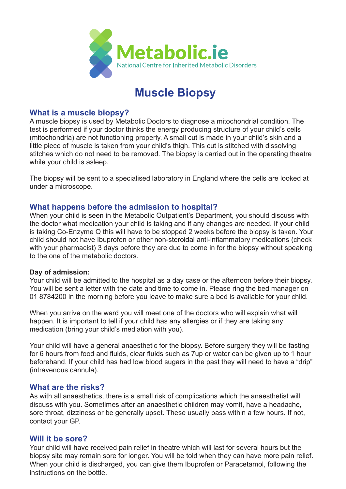

# **Muscle Biopsy**

## **What is a muscle biopsy?**

A muscle biopsy is used by Metabolic Doctors to diagnose a mitochondrial condition. The test is performed if your doctor thinks the energy producing structure of your child's cells (mitochondria) are not functioning properly. A small cut is made in your child's skin and a little piece of muscle is taken from your child's thigh. This cut is stitched with dissolving stitches which do not need to be removed. The biopsy is carried out in the operating theatre while your child is asleep.

The biopsy will be sent to a specialised laboratory in England where the cells are looked at under a microscope.

# **What happens before the admission to hospital?**

When your child is seen in the Metabolic Outpatient's Department, you should discuss with the doctor what medication your child is taking and if any changes are needed. If your child is taking Co-Enzyme Q this will have to be stopped 2 weeks before the biopsy is taken. Your child should not have Ibuprofen or other non-steroidal anti-inflammatory medications (check with your pharmacist) 3 days before they are due to come in for the biopsy without speaking to the one of the metabolic doctors.

#### **Day of admission:**

Your child will be admitted to the hospital as a day case or the afternoon before their biopsy. You will be sent a letter with the date and time to come in. Please ring the bed manager on 01 8784200 in the morning before you leave to make sure a bed is available for your child.

When you arrive on the ward you will meet one of the doctors who will explain what will happen. It is important to tell if your child has any allergies or if they are taking any medication (bring your child's mediation with you).

Your child will have a general anaesthetic for the biopsy. Before surgery they will be fasting for 6 hours from food and fluids, clear fluids such as 7up or water can be given up to 1 hour beforehand. If your child has had low blood sugars in the past they will need to have a "drip" (intravenous cannula).

#### **What are the risks?**

As with all anaesthetics, there is a small risk of complications which the anaesthetist will discuss with you. Sometimes after an anaesthetic children may vomit, have a headache, sore throat, dizziness or be generally upset. These usually pass within a few hours. If not, contact your GP.

#### **Will it be sore?**

Your child will have received pain relief in theatre which will last for several hours but the biopsy site may remain sore for longer. You will be told when they can have more pain relief. When your child is discharged, you can give them Ibuprofen or Paracetamol, following the instructions on the bottle.